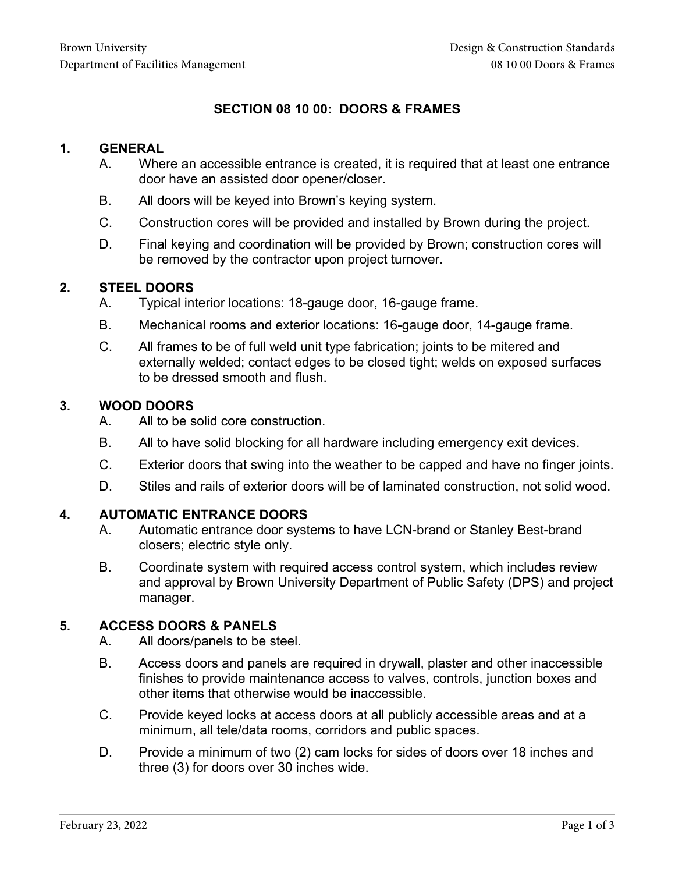# **SECTION 08 10 00: DOORS & FRAMES**

### **1. GENERAL**

- A. Where an accessible entrance is created, it is required that at least one entrance door have an assisted door opener/closer.
- B. All doors will be keyed into Brown's keying system.
- C. Construction cores will be provided and installed by Brown during the project.
- D. Final keying and coordination will be provided by Brown; construction cores will be removed by the contractor upon project turnover.

### **2. STEEL DOORS**

- A. Typical interior locations: 18-gauge door, 16-gauge frame.
- B. Mechanical rooms and exterior locations: 16-gauge door, 14-gauge frame.
- C. All frames to be of full weld unit type fabrication; joints to be mitered and externally welded; contact edges to be closed tight; welds on exposed surfaces to be dressed smooth and flush.

### **3. WOOD DOORS**

- A. All to be solid core construction.
- B. All to have solid blocking for all hardware including emergency exit devices.
- C. Exterior doors that swing into the weather to be capped and have no finger joints.
- D. Stiles and rails of exterior doors will be of laminated construction, not solid wood.

#### **4. AUTOMATIC ENTRANCE DOORS**

- A. Automatic entrance door systems to have LCN-brand or Stanley Best-brand closers; electric style only.
- B. Coordinate system with required access control system, which includes review and approval by Brown University Department of Public Safety (DPS) and project manager.

## **5. ACCESS DOORS & PANELS**

- A. All doors/panels to be steel.
- B. Access doors and panels are required in drywall, plaster and other inaccessible finishes to provide maintenance access to valves, controls, junction boxes and other items that otherwise would be inaccessible.
- C. Provide keyed locks at access doors at all publicly accessible areas and at a minimum, all tele/data rooms, corridors and public spaces.
- D. Provide a minimum of two (2) cam locks for sides of doors over 18 inches and three (3) for doors over 30 inches wide.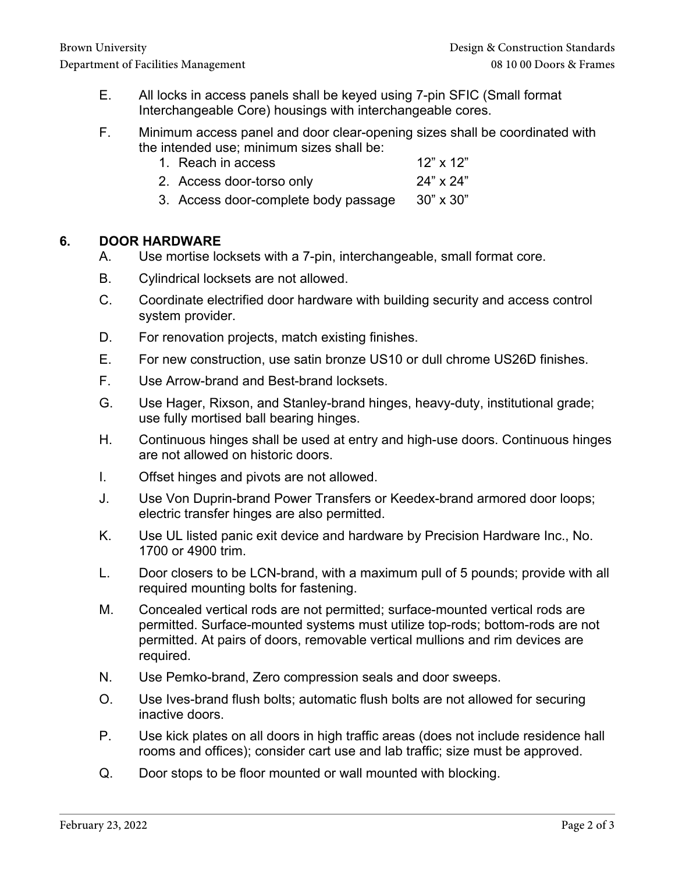- E. All locks in access panels shall be keyed using 7-pin SFIC (Small format Interchangeable Core) housings with interchangeable cores.
- F. Minimum access panel and door clear-opening sizes shall be coordinated with the intended use; minimum sizes shall be:
	- 1. Reach in access 12" x 12"
	- 2. Access door-torso only 24" x 24"
	- 3. Access door-complete body passage 30" x 30"

### **6. DOOR HARDWARE**

- A. Use mortise locksets with a 7-pin, interchangeable, small format core.
- B. Cylindrical locksets are not allowed.
- C. Coordinate electrified door hardware with building security and access control system provider.
- D. For renovation projects, match existing finishes.
- E. For new construction, use satin bronze US10 or dull chrome US26D finishes.
- F. Use Arrow-brand and Best-brand locksets.
- G. Use Hager, Rixson, and Stanley-brand hinges, heavy-duty, institutional grade; use fully mortised ball bearing hinges.
- H. Continuous hinges shall be used at entry and high-use doors. Continuous hinges are not allowed on historic doors.
- I. Offset hinges and pivots are not allowed.
- J. Use Von Duprin-brand Power Transfers or Keedex-brand armored door loops; electric transfer hinges are also permitted.
- K. Use UL listed panic exit device and hardware by Precision Hardware Inc., No. 1700 or 4900 trim.
- L. Door closers to be LCN-brand, with a maximum pull of 5 pounds; provide with all required mounting bolts for fastening.
- M. Concealed vertical rods are not permitted; surface-mounted vertical rods are permitted. Surface-mounted systems must utilize top-rods; bottom-rods are not permitted. At pairs of doors, removable vertical mullions and rim devices are required.
- N. Use Pemko-brand, Zero compression seals and door sweeps.
- O. Use Ives-brand flush bolts; automatic flush bolts are not allowed for securing inactive doors.
- P. Use kick plates on all doors in high traffic areas (does not include residence hall rooms and offices); consider cart use and lab traffic; size must be approved.
- Q. Door stops to be floor mounted or wall mounted with blocking.